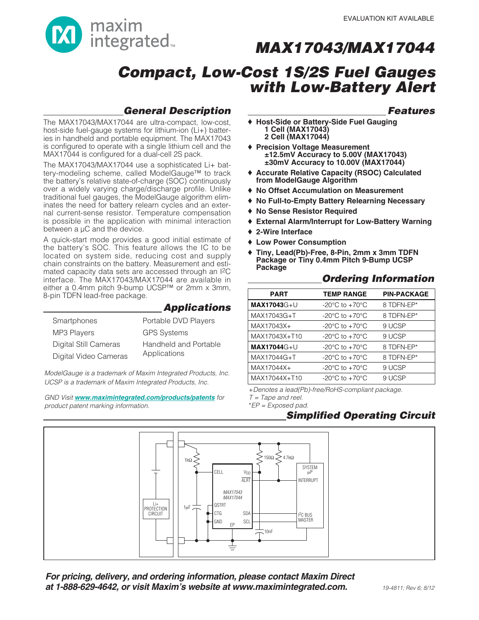

# **Compact, Low-Cost 1S/2S Fuel Gauges with Low-Battery Alert**

### **General Description**

The MAX17043/MAX17044 are ultra-compact, low-cost, host-side fuel-gauge systems for lithium-ion (Li+) batteries in handheld and portable equipment. The MAX17043 is configured to operate with a single lithium cell and the MAX17044 is configured for a dual-cell 2S pack.

The MAX17043/MAX17044 use a sophisticated Li+ battery-modeling scheme, called ModelGauge™ to track the battery's relative state-of-charge (SOC) continuously over a widely varying charge/discharge profile. Unlike traditional fuel gauges, the ModelGauge algorithm eliminates the need for battery relearn cycles and an external current-sense resistor. Temperature compensation is possible in the application with minimal interaction between a µC and the device.

A quick-start mode provides a good initial estimate of the battery's SOC. This feature allows the IC to be located on system side, reducing cost and supply chain constraints on the battery. Measurement and estimated capacity data sets are accessed through an I2C interface. The MAX17043/MAX17044 are available in either a 0.4mm pitch 9-bump UCSP™ or 2mm x 3mm, 8-pin TDFN lead-free package.

|                       | <b>Applications</b>          |
|-----------------------|------------------------------|
| Smartphones           | Portable DVD Players         |
| <b>MP3 Players</b>    | <b>GPS Systems</b>           |
| Digital Still Cameras | <b>Handheld and Portable</b> |
| Digital Video Cameras | Applications                 |

ModelGauge is a trademark of Maxim Integrated Products, Inc. UCSP is a trademark of Maxim Integrated Products, Inc.

GND Visit **www.maximintegrated.com/products/patents** for product patent marking information.

### **Features**

- ♦ **Host-Side or Battery-Side Fuel Gauging 1 Cell (MAX17043) 2 Cell (MAX17044)**
- ♦ **Precision Voltage Measurement ±12.5mV Accuracy to 5.00V (MAX17043) ±30mV Accuracy to 10.00V (MAX17044)**
- ♦ **Accurate Relative Capacity (RSOC) Calculated from ModelGauge Algorithm**
- ♦ **No Offset Accumulation on Measurement**
- ♦ **No Full-to-Empty Battery Relearning Necessary**
- ♦ **No Sense Resistor Required**
- ♦ **External Alarm/Interrupt for Low-Battery Warning**
- ♦ **2-Wire Interface**
- ♦ **Low Power Consumption**
- ♦ **Tiny, Lead(Pb)-Free, 8-Pin, 2mm x 3mm TDFN Package or Tiny 0.4mm Pitch 9-Bump UCSP Package**

| <b>PART</b>         | <b>TEMP RANGE</b>                                    | <b>PIN-PACKAGE</b> |
|---------------------|------------------------------------------------------|--------------------|
| <b>MAX17043</b> G+U | -20 $\mathrm{^{\circ}C}$ to +70 $\mathrm{^{\circ}C}$ | 8 TDFN-EP*         |
| MAX17043G+T         | -20 $\mathrm{^{\circ}C}$ to +70 $\mathrm{^{\circ}C}$ | 8 TDFN-EP*         |
| MAX17043X+          | $-20^{\circ}$ C to $+70^{\circ}$ C                   | 9 UCSP             |
| MAX17043X+T10       | -20 $\mathrm{^{\circ}C}$ to +70 $\mathrm{^{\circ}C}$ | 9 UCSP             |
| <b>MAX17044G+U</b>  | -20 $\mathrm{^{\circ}C}$ to +70 $\mathrm{^{\circ}C}$ | 8 TDFN-EP*         |
| MAX17044G+T         | -20 $\mathrm{^{\circ}C}$ to +70 $\mathrm{^{\circ}C}$ | 8 TDFN-EP*         |
| MAX17044X+          | -20 $\mathrm{^{\circ}C}$ to +70 $\mathrm{^{\circ}C}$ | 9 UCSP             |
| MAX17044X+T10       | $-20^{\circ}$ C to $+70^{\circ}$ C                   | 9 UCSP             |

+Denotes a lead(Pb)-free/RoHS-compliant package.

 $T = \text{Tape}$  and reel. \*EP = Exposed pad.

## **Simplified Operating Circuit**



**For pricing, delivery, and ordering information, please contact Maxim Direct at 1-888-629-4642, or visit Maxim's website at www.maximintegrated.com.**

### **Ordering Information**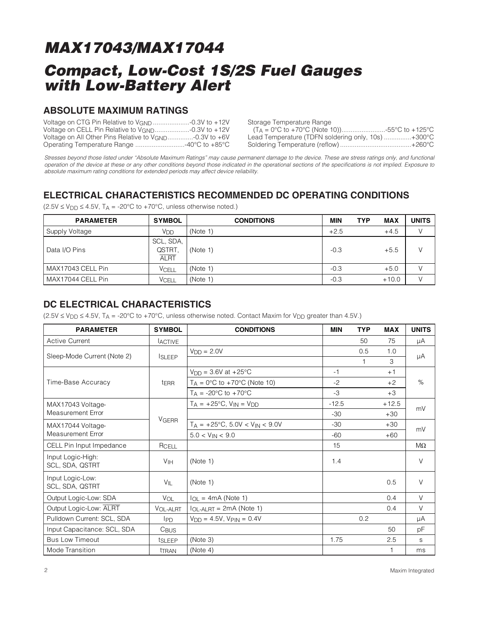### **ABSOLUTE MAXIMUM RATINGS**

| Voltage on All Other Pins Relative to $V_{GND}$ -0.3V to +6V |  |
|--------------------------------------------------------------|--|
| Operating Temperature Range 40°C to +85°C                    |  |

Storage Temperature Range

| $(T_A = 0^{\circ}C$ to +70°C (Note 10))55°C to +125°C |  |
|-------------------------------------------------------|--|
| Lead Temperature (TDFN soldering only, 10s) +300°C    |  |
|                                                       |  |

Stresses beyond those listed under "Absolute Maximum Ratings" may cause permanent damage to the device. These are stress ratings only, and functional operation of the device at these or any other conditions beyond those indicated in the operational sections of the specifications is not implied. Exposure to absolute maximum rating conditions for extended periods may affect device reliability.

## **ELECTRICAL CHARACTERISTICS RECOMMENDED DC OPERATING CONDITIONS**

| <b>PARAMETER</b>  | <b>SYMBOL</b>                      | <b>CONDITIONS</b> | <b>MIN</b> | <b>TYP</b><br><b>MAX</b> | <b>UNITS</b> |
|-------------------|------------------------------------|-------------------|------------|--------------------------|--------------|
| Supply Voltage    | V <sub>DD</sub>                    | (Note 1)          | $+2.5$     | $+4.5$                   | V            |
| Data I/O Pins     | SCL, SDA,<br>QSTRT.<br><b>ALRT</b> | (Note 1)          | $-0.3$     | $+5.5$                   | V            |
| MAX17043 CELL Pin | VCELL                              | (Note 1)          | $-0.3$     | $+5.0$                   |              |
| MAX17044 CELL Pin | VCELL                              | (Note 1)          | $-0.3$     | $+10.0$                  |              |

 $(2.5V \le V_{DD} \le 4.5V, T_A = -20°C$  to +70°C, unless otherwise noted.)

### **DC ELECTRICAL CHARACTERISTICS**

 $(2.5V \le V_{DD} \le 4.5V, T_A = -20^{\circ}C$  to +70°C, unless otherwise noted. Contact Maxim for V<sub>DD</sub> greater than 4.5V.)

| <b>PARAMETER</b>                     | <b>SYMBOL</b>    | <b>CONDITIONS</b>                             | <b>MIN</b> | <b>TYP</b> | <b>MAX</b> | <b>UNITS</b> |  |  |
|--------------------------------------|------------------|-----------------------------------------------|------------|------------|------------|--------------|--|--|
| <b>Active Current</b>                | <b>ACTIVE</b>    |                                               |            | 50         | 75         | μA           |  |  |
|                                      |                  | $VDD = 2.0V$                                  |            | 0.5        | 1.0        |              |  |  |
| Sleep-Mode Current (Note 2)          | <b>ISLEEP</b>    |                                               |            | 1          | З          | μA           |  |  |
|                                      |                  | $V_{DD} = 3.6V$ at $+25^{\circ}C$             | $-1$       |            | $+1$       |              |  |  |
| Time-Base Accuracy                   | <b>tERR</b>      | $T_A = 0$ °C to +70°C (Note 10)               | $-2$       |            | $+2$       | $\%$         |  |  |
|                                      |                  | $T_A = -20$ °C to $+70$ °C                    | $-3$       |            | $+3$       |              |  |  |
| MAX17043 Voltage-                    |                  | $T_A = +25$ °C, $V_{IN} = V_{DD}$             | $-12.5$    |            | $+12.5$    | mV           |  |  |
| <b>Measurement Error</b>             |                  |                                               | $-30$      |            | $+30$      |              |  |  |
| MAX17044 Voltage-                    | <b>VGERR</b>     | $T_A = +25^{\circ}C$ , 5.0V < $V_{IN}$ < 9.0V | $-30$      |            | $+30$      | mV           |  |  |
| <b>Measurement Error</b>             |                  | $5.0 < V_{IN} < 9.0$                          | $-60$      |            | $+60$      |              |  |  |
| CELL Pin Input Impedance             | RCELL            |                                               | 15         |            |            | $M\Omega$    |  |  |
| Input Logic-High:<br>SCL, SDA, QSTRT | V <sub>IH</sub>  | (Note 1)                                      | 1.4        |            |            | $\vee$       |  |  |
| Input Logic-Low:<br>SCL, SDA, QSTRT  | VIL              | (Note 1)                                      |            |            | 0.5        | $\vee$       |  |  |
| Output Logic-Low: SDA                | VOL              | $I_{OL}$ = 4mA (Note 1)                       |            |            | 0.4        | $\vee$       |  |  |
| Output Logic-Low: ALRT               | VOL-ALRT         | $I_{OL-ALRT} = 2mA (Note 1)$                  |            |            | 0.4        | $\vee$       |  |  |
| Pulldown Current: SCL, SDA           | $I_{PD}$         | $V_{DD} = 4.5V$ , $V_{PIN} = 0.4V$            |            | 0.2        |            | μA           |  |  |
| Input Capacitance: SCL, SDA          | C <sub>BUS</sub> |                                               |            |            | 50         | рF           |  |  |
| <b>Bus Low Timeout</b>               | tSLEEP           | (Note 3)                                      | 1.75       |            | 2.5        | S            |  |  |
| Mode Transition                      | ttran            | (Note 4)                                      |            |            | 1          | ms           |  |  |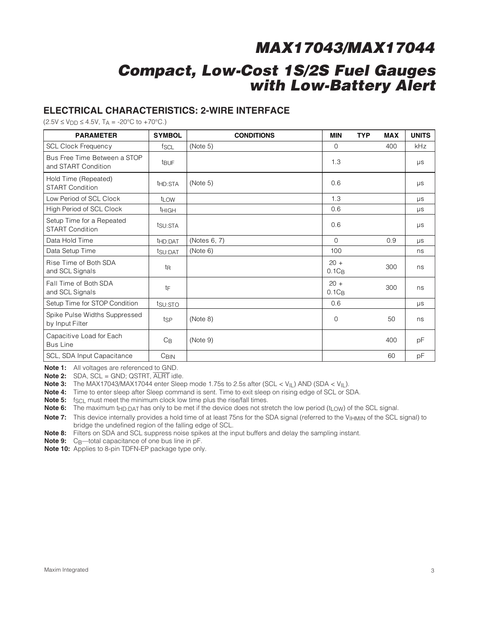### **ELECTRICAL CHARACTERISTICS: 2-WIRE INTERFACE**

 $(2.5V \le V_{DD} \le 4.5V, T_A = -20°C$  to  $+70°C$ .)

| <b>PARAMETER</b>                                    | <b>SYMBOL</b>       | <b>CONDITIONS</b> | <b>MIN</b>         | <b>TYP</b> | <b>MAX</b> | <b>UNITS</b> |
|-----------------------------------------------------|---------------------|-------------------|--------------------|------------|------------|--------------|
| <b>SCL Clock Frequency</b>                          | fscl                | (Note 5)          | $\Omega$           |            | 400        | <b>kHz</b>   |
| Bus Free Time Between a STOP<br>and START Condition | <b>t</b> BUF        |                   | 1.3                |            |            | μs           |
| Hold Time (Repeated)<br><b>START Condition</b>      | t <sub>HD:STA</sub> | (Note 5)          | 0.6                |            |            | $\mu s$      |
| Low Period of SCL Clock                             | t <sub>LOW</sub>    |                   | 1.3                |            |            | $\mu s$      |
| High Period of SCL Clock                            | <b>THIGH</b>        |                   | 0.6                |            |            | μs           |
| Setup Time for a Repeated<br><b>START Condition</b> | tsu:STA             |                   | 0.6                |            |            | μs           |
| Data Hold Time                                      | t <sub>HD:DAT</sub> | (Notes 6, 7)      | $\Omega$           |            | 0.9        | μs           |
| Data Setup Time                                     | tsu:DAT             | (Note 6)          | 100                |            |            | ns           |
| Rise Time of Both SDA<br>and SCL Signals            | t <sub>R</sub>      |                   | $20 +$<br>$0.1C_B$ |            | 300        | ns           |
| Fall Time of Both SDA<br>and SCL Signals            | tF                  |                   | $20 +$<br>$0.1C_B$ |            | 300        | ns           |
| Setup Time for STOP Condition                       | tsu: STO            |                   | 0.6                |            |            | $\mu s$      |
| Spike Pulse Widths Suppressed<br>by Input Filter    | tsp                 | (Note 8)          | $\Omega$           |            | 50         | ns           |
| Capacitive Load for Each<br><b>Bus Line</b>         | $C_{\text{B}}$      | (Note 9)          |                    |            | 400        | pF           |
| SCL, SDA Input Capacitance                          | C <sub>BIN</sub>    |                   |                    |            | 60         | pF           |

**Note 1:** All voltages are referenced to GND.

**Note 2:** SDA, SCL = GND; QSTRT, ALRT idle.

**Note 3:** The MAX17043/MAX17044 enter Sleep mode 1.75s to 2.5s after (SCL < VIL) AND (SDA < VIL).

**Note 4:** Time to enter sleep after Sleep command is sent. Time to exit sleep on rising edge of SCL or SDA.

**Note 5:** f<sub>SCL</sub> must meet the minimum clock low time plus the rise/fall times.

**Note 6:** The maximum t<sub>HD:DAT</sub> has only to be met if the device does not stretch the low period (t<sub>LOW</sub>) of the SCL signal.

**Note 7:** This device internally provides a hold time of at least 75ns for the SDA signal (referred to the V<sub>IHMIN</sub> of the SCL signal) to bridge the undefined region of the falling edge of SCL.

**Note 8:** Filters on SDA and SCL suppress noise spikes at the input buffers and delay the sampling instant.

Note 9: C<sub>B</sub>—total capacitance of one bus line in pF.

**Note 10:** Applies to 8-pin TDFN-EP package type only.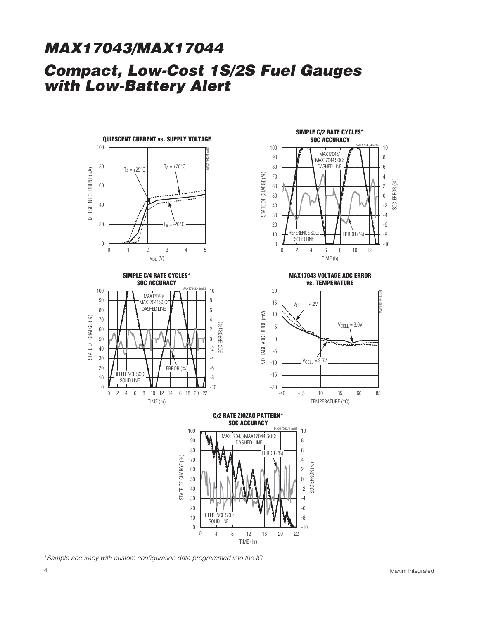







**MAX17043 VOLTAGE ADC ERROR vs. TEMPERATURE**



**C/2 RATE ZIGZAG PATTERN\* SOC ACCURACY**



\*Sample accuracy with custom configuration data programmed into the IC.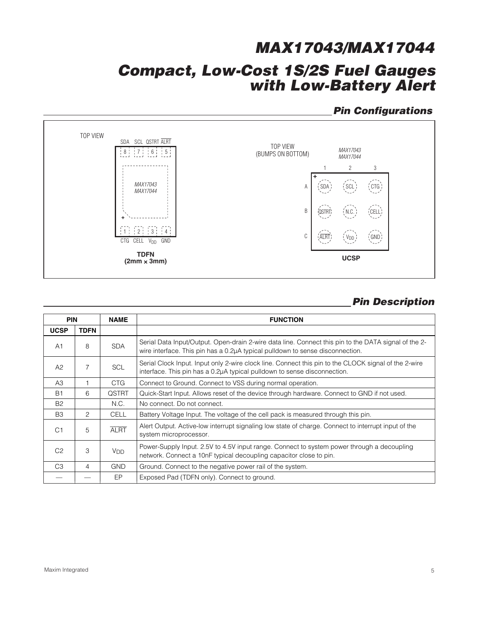## **Pin Configurations**



## **Pin Description**

| <b>PIN</b>     |             | <b>NAME</b>           | <b>FUNCTION</b>                                                                                                                                                                       |
|----------------|-------------|-----------------------|---------------------------------------------------------------------------------------------------------------------------------------------------------------------------------------|
| <b>UCSP</b>    | <b>TDFN</b> |                       |                                                                                                                                                                                       |
| A1             | 8           | <b>SDA</b>            | Serial Data Input/Output. Open-drain 2-wire data line. Connect this pin to the DATA signal of the 2-<br>wire interface. This pin has a 0.2µA typical pulldown to sense disconnection. |
| A2             | 7           | <b>SCL</b>            | Serial Clock Input. Input only 2-wire clock line. Connect this pin to the CLOCK signal of the 2-wire<br>interface. This pin has a 0.2µA typical pulldown to sense disconnection.      |
| A3             |             | <b>CTG</b>            | Connect to Ground. Connect to VSS during normal operation.                                                                                                                            |
| <b>B1</b>      | 6           | <b>QSTRT</b>          | Quick-Start Input. Allows reset of the device through hardware. Connect to GND if not used.                                                                                           |
| <b>B2</b>      |             | N.C.                  | No connect. Do not connect.                                                                                                                                                           |
| B <sub>3</sub> | 2           | <b>CELL</b>           | Battery Voltage Input. The voltage of the cell pack is measured through this pin.                                                                                                     |
| C <sub>1</sub> | 5           | <b>ALRT</b>           | Alert Output. Active-low interrupt signaling low state of charge. Connect to interrupt input of the<br>system microprocessor.                                                         |
| C <sub>2</sub> | 3           | <b>V<sub>DD</sub></b> | Power-Supply Input. 2.5V to 4.5V input range. Connect to system power through a decoupling<br>network. Connect a 10nF typical decoupling capacitor close to pin.                      |
| C <sub>3</sub> | 4           | <b>GND</b>            | Ground. Connect to the negative power rail of the system.                                                                                                                             |
|                |             | EP                    | Exposed Pad (TDFN only). Connect to ground.                                                                                                                                           |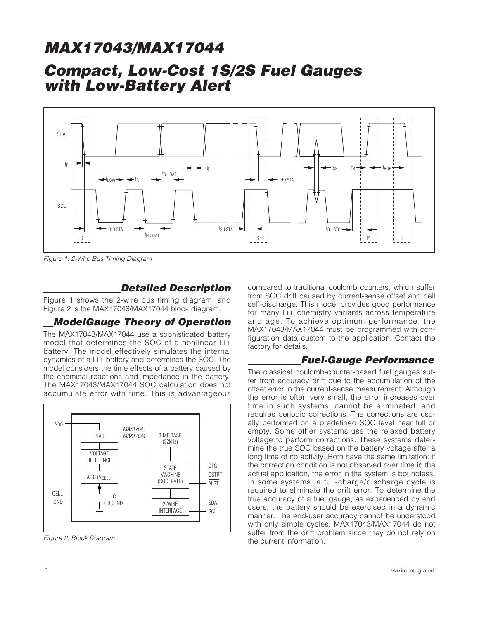## **Compact, Low-Cost 1S/2S Fuel Gauges with Low-Battery Alert**



Figure 1. 2-Wire Bus Timing Diagram

### **Detailed Description**

Figure 1 shows the 2-wire bus timing diagram, and Figure 2 is the MAX17043/MAX17044 block diagram.

### **ModelGauge Theory of Operation**

The MAX17043/MAX17044 use a sophisticated battery model that determines the SOC of a nonlinear Li+ battery. The model effectively simulates the internal dynamics of a Li+ battery and determines the SOC. The model considers the time effects of a battery caused by the chemical reactions and impedance in the battery. The MAX17043/MAX17044 SOC calculation does not accumulate error with time. This is advantageous



Figure 2. Block Diagram

compared to traditional coulomb counters, which suffer from SOC drift caused by current-sense offset and cell self-discharge. This model provides good performance for many Li+ chemistry variants across temperature and age. To achieve optimum performance, the MAX17043/MAX17044 must be programmed with configuration data custom to the application. Contact the factory for details.

### **Fuel-Gauge Performance**

The classical coulomb-counter-based fuel gauges suffer from accuracy drift due to the accumulation of the offset error in the current-sense measurement. Although the error is often very small, the error increases over time in such systems, cannot be eliminated, and requires periodic corrections. The corrections are usually performed on a predefined SOC level near full or empty. Some other systems use the relaxed battery voltage to perform corrections. These systems determine the true SOC based on the battery voltage after a long time of no activity. Both have the same limitation: if the correction condition is not observed over time in the actual application, the error in the system is boundless. In some systems, a full-charge/discharge cycle is required to eliminate the drift error. To determine the true accuracy of a fuel gauge, as experienced by end users, the battery should be exercised in a dynamic manner. The end-user accuracy cannot be understood with only simple cycles. MAX17043/MAX17044 do not suffer from the drift problem since they do not rely on the current information.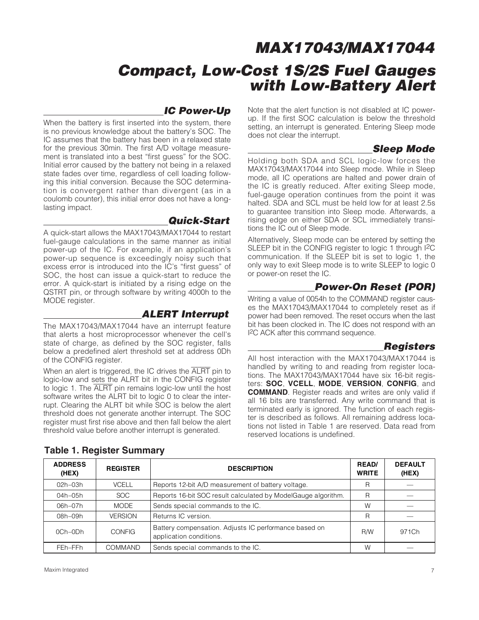### **IC Power-Up**

When the battery is first inserted into the system, there is no previous knowledge about the battery's SOC. The IC assumes that the battery has been in a relaxed state for the previous 30min. The first A/D voltage measurement is translated into a best "first guess" for the SOC. Initial error caused by the battery not being in a relaxed state fades over time, regardless of cell loading following this initial conversion. Because the SOC determination is convergent rather than divergent (as in a coulomb counter), this initial error does not have a longlasting impact.

### **Quick-Start**

A quick-start allows the MAX17043/MAX17044 to restart fuel-gauge calculations in the same manner as initial power-up of the IC. For example, if an application's power-up sequence is exceedingly noisy such that excess error is introduced into the IC's "first guess" of SOC, the host can issue a quick-start to reduce the error. A quick-start is initiated by a rising edge on the QSTRT pin, or through software by writing 4000h to the MODE register.

### **ALERT Interrupt**

The MAX17043/MAX17044 have an interrupt feature that alerts a host microprocessor whenever the cell's state of charge, as defined by the SOC register, falls below a predefined alert threshold set at address 0Dh of the CONFIG register.

When an alert is triggered, the IC drives the ALRT pin to logic-low and sets the ALRT bit in the CONFIG register to logic 1. The ALRT pin remains logic-low until the host software writes the ALRT bit to logic 0 to clear the interrupt. Clearing the ALRT bit while SOC is below the alert threshold does not generate another interrupt. The SOC register must first rise above and then fall below the alert threshold value before another interrupt is generated.

Note that the alert function is not disabled at IC powerup. If the first SOC calculation is below the threshold setting, an interrupt is generated. Entering Sleep mode does not clear the interrupt.

## **Sleep Mode**

Holding both SDA and SCL logic-low forces the MAX17043/MAX17044 into Sleep mode. While in Sleep mode, all IC operations are halted and power drain of the IC is greatly reduced. After exiting Sleep mode, fuel-gauge operation continues from the point it was halted. SDA and SCL must be held low for at least 2.5s to guarantee transition into Sleep mode. Afterwards, a rising edge on either SDA or SCL immediately transitions the IC out of Sleep mode.

Alternatively, Sleep mode can be entered by setting the SLEEP bit in the CONFIG register to logic 1 through I<sup>2</sup>C communication. If the SLEEP bit is set to logic 1, the only way to exit Sleep mode is to write SLEEP to logic 0 or power-on reset the IC.

## **Power-On Reset (POR)**

Writing a value of 0054h to the COMMAND register causes the MAX17043/MAX17044 to completely reset as if power had been removed. The reset occurs when the last bit has been clocked in. The IC does not respond with an I2C ACK after this command sequence.

### **Registers**

All host interaction with the MAX17043/MAX17044 is handled by writing to and reading from register locations. The MAX17043/MAX17044 have six 16-bit registers: **SOC**, **VCELL**, **MODE**, **VERSION**, **CONFIG**, and **COMMAND**. Register reads and writes are only valid if all 16 bits are transferred. Any write command that is terminated early is ignored. The function of each register is described as follows. All remaining address locations not listed in Table 1 are reserved. Data read from reserved locations is undefined.

| <b>ADDRESS</b><br>(HEX) | <b>REGISTER</b> | <b>DESCRIPTION</b>                                                               | <b>READ/</b><br><b>WRITE</b> | <b>DEFAULT</b><br>(HEX) |
|-------------------------|-----------------|----------------------------------------------------------------------------------|------------------------------|-------------------------|
| $02h - 03h$             | <b>VCELL</b>    | Reports 12-bit A/D measurement of battery voltage.                               | R                            |                         |
| 04h-05h                 | <b>SOC</b>      | Reports 16-bit SOC result calculated by ModelGauge algorithm.                    | R                            |                         |
| 06h-07h                 | MODE            | Sends special commands to the IC.                                                | W                            |                         |
| 08h-09h                 | <b>VERSION</b>  | Returns IC version.                                                              | R                            |                         |
| $OCh-ODh$               | <b>CONFIG</b>   | Battery compensation. Adjusts IC performance based on<br>application conditions. | <b>R/W</b>                   | 971Ch                   |
| FEh-FFh                 | COMMAND         | Sends special commands to the IC.                                                | W                            |                         |

### **Table 1. Register Summary**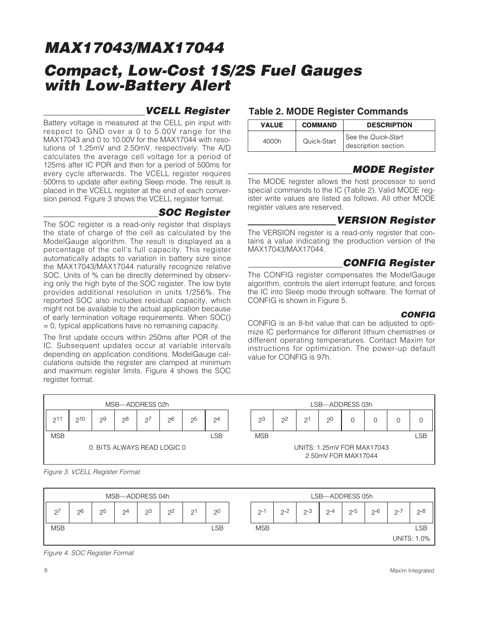### **VCELL Register**

Battery voltage is measured at the CELL pin input with respect to GND over a 0 to 5.00V range for the MAX17043 and 0 to 10.00V for the MAX17044 with resolutions of 1.25mV and 2.50mV, respectively. The A/D calculates the average cell voltage for a period of 125ms after IC POR and then for a period of 500ms for every cycle afterwards. The VCELL register requires 500ms to update after exiting Sleep mode. The result is placed in the VCELL register at the end of each conversion period. Figure 3 shows the VCELL register format.

### **SOC Register**

The SOC register is a read-only register that displays the state of charge of the cell as calculated by the ModelGauge algorithm. The result is displayed as a percentage of the cell's full capacity. This register automatically adapts to variation in battery size since the MAX17043/MAX17044 naturally recognize relative SOC. Units of % can be directly determined by observing only the high byte of the SOC register. The low byte provides additional resolution in units 1/256%. The reported SOC also includes residual capacity, which might not be available to the actual application because of early termination voltage requirements. When SOC() = 0, typical applications have no remaining capacity.

The first update occurs within 250ms after POR of the IC. Subsequent updates occur at variable intervals depending on application conditions. ModelGauge calculations outside the register are clamped at minimum and maximum register limits. Figure 4 shows the SOC register format.

### **Table 2. MODE Register Commands**

| <b>VALUE</b> | <b>COMMAND</b> | <b>DESCRIPTION</b>                          |
|--------------|----------------|---------------------------------------------|
| 4000h        | Quick-Start    | See the Quick-Start<br>description section. |

## **MODE Register**

The MODE register allows the host processor to send special commands to the IC (Table 2). Valid MODE register write values are listed as follows. All other MODE register values are reserved.

### **VERSION Register**

The VERSION register is a read-only register that contains a value indicating the production version of the MAX17043/MAX17044.

### **CONFIG Register**

The CONFIG register compensates the ModelGauge algorithm, controls the alert interrupt feature, and forces the IC into Sleep mode through software. The format of CONFIG is shown in Figure 5.

#### **CONFIG**

CONFIG is an 8-bit value that can be adjusted to optimize IC performance for different lithium chemistries or different operating temperatures. Contact Maxim for instructions for optimization. The power-up default value for CONFIG is 97h.







Figure 4. SOC Register Format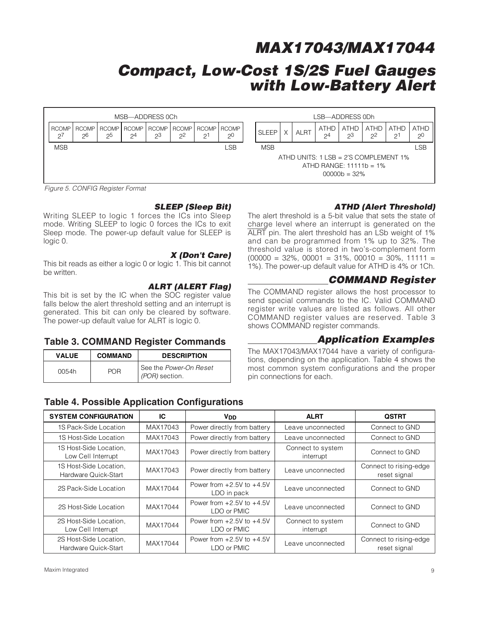# **Compact, Low-Cost 1S/2S Fuel Gauges with Low-Battery Alert**

|                         |             |    |    | MSB-ADDRESS 0Ch                              |       |    |         |              |          |      |                               | LSB-ADDRESS ODh   |                                                                     |               |                               |
|-------------------------|-------------|----|----|----------------------------------------------|-------|----|---------|--------------|----------|------|-------------------------------|-------------------|---------------------------------------------------------------------|---------------|-------------------------------|
| <b>RCOMP</b><br>$2^{7}$ | RCOMP<br>26 | 25 | 24 | RCOMP RCOMP RCOMP RCOMP RCOMP RCOMP<br>$2^3$ | $2^2$ | 21 | $2^{0}$ | <b>SLEEP</b> | $\times$ | ALRT | <b>ATHD</b><br>2 <sup>4</sup> | <b>ATHD</b><br>23 | <b>ATHD</b><br>2 <sup>2</sup>                                       | ATHD<br>$2^1$ | <b>ATHD</b><br>2 <sup>0</sup> |
| <b>MSB</b>              |             |    |    |                                              |       |    | LSB     | <b>MSB</b>   |          |      |                               |                   |                                                                     |               | LSB                           |
|                         |             |    |    |                                              |       |    |         |              |          |      |                               | $00000b = 32%$    | ATHD UNITS: 1 LSB = 2'S COMPLEMENT 1%<br>ATHD RANGE: $11111b = 1\%$ |               |                               |

Figure 5. CONFIG Register Format

### **SLEEP (Sleep Bit)**

Writing SLEEP to logic 1 forces the ICs into Sleep mode. Writing SLEEP to logic 0 forces the ICs to exit Sleep mode. The power-up default value for SLEEP is logic 0.

### **X (Don't Care)**

This bit reads as either a logic 0 or logic 1. This bit cannot be written.

#### **ALRT (ALERT Flag)**

This bit is set by the IC when the SOC register value falls below the alert threshold setting and an interrupt is generated. This bit can only be cleared by software. The power-up default value for ALRT is logic 0.

#### **Table 3. COMMAND Register Commands**

| <b>VALUE</b> | <b>COMMAND</b> | <b>DESCRIPTION</b>                       |
|--------------|----------------|------------------------------------------|
| 0054h        | POR            | See the Power-On Reset<br>(POR) section. |

### **Table 4. Possible Application Configurations**

### **ATHD (Alert Threshold)**

The alert threshold is a 5-bit value that sets the state of charge level where an interrupt is generated on the ALRT pin. The alert threshold has an LSb weight of 1% and can be programmed from 1% up to 32%. The threshold value is stored in two's-complement form  $(00000 = 32\%, 00001 = 31\%, 00010 = 30\%, 11111 =$ 1%). The power-up default value for ATHD is 4% or 1Ch.

### **COMMAND Register**

The COMMAND register allows the host processor to send special commands to the IC. Valid COMMAND register write values are listed as follows. All other COMMAND register values are reserved. Table 3 shows COMMAND register commands.

### **Application Examples**

The MAX17043/MAX17044 have a variety of configurations, depending on the application. Table 4 shows the most common system configurations and the proper pin connections for each.

| <b>SYSTEM CONFIGURATION</b>                    | IC       | <b>V<sub>DD</sub></b>                        | <b>ALRT</b>                    | <b>QSTRT</b>                           |
|------------------------------------------------|----------|----------------------------------------------|--------------------------------|----------------------------------------|
| 1S Pack-Side Location                          | MAX17043 | Power directly from battery                  | Leave unconnected              | Connect to GND                         |
| 1S Host-Side Location                          | MAX17043 | Power directly from battery                  | Leave unconnected              | Connect to GND                         |
| 1S Host-Side Location,<br>Low Cell Interrupt   | MAX17043 | Power directly from battery                  | Connect to system<br>interrupt | Connect to GND                         |
| 1S Host-Side Location,<br>Hardware Quick-Start | MAX17043 | Power directly from battery                  | Leave unconnected              | Connect to rising-edge<br>reset signal |
| 2S Pack-Side Location                          | MAX17044 | Power from $+2.5V$ to $+4.5V$<br>LDO in pack | Leave unconnected              | Connect to GND                         |
| 2S Host-Side Location                          | MAX17044 | Power from $+2.5V$ to $+4.5V$<br>LDO or PMIC | Leave unconnected              | Connect to GND                         |
| 2S Host-Side Location,<br>Low Cell Interrupt   | MAX17044 | Power from $+2.5V$ to $+4.5V$<br>LDO or PMIC | Connect to system<br>interrupt | Connect to GND                         |
| 2S Host-Side Location,<br>Hardware Quick-Start | MAX17044 | Power from $+2.5V$ to $+4.5V$<br>LDO or PMIC | Leave unconnected              | Connect to rising-edge<br>reset signal |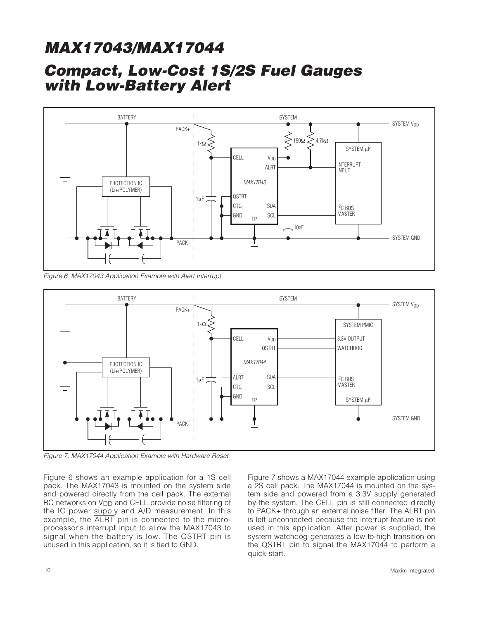

Figure 6. MAX17043 Application Example with Alert Interrupt



Figure 7. MAX17044 Application Example with Hardware Reset

Figure 6 shows an example application for a 1S cell pack. The MAX17043 is mounted on the system side and powered directly from the cell pack. The external RC networks on V<sub>DD</sub> and CELL provide noise filtering of the IC power supply and A/D measurement. In this example, the ALRT pin is connected to the microprocessor's interrupt input to allow the MAX17043 to signal when the battery is low. The QSTRT pin is unused in this application, so it is tied to GND.

Figure 7 shows a MAX17044 example application using a 2S cell pack. The MAX17044 is mounted on the system side and powered from a 3.3V supply generated by the system. The CELL pin is still connected directly to PACK+ through an external noise filter. The ALRT pin is left unconnected because the interrupt feature is not used in this application. After power is supplied, the system watchdog generates a low-to-high transition on the QSTRT pin to signal the MAX17044 to perform a quick-start.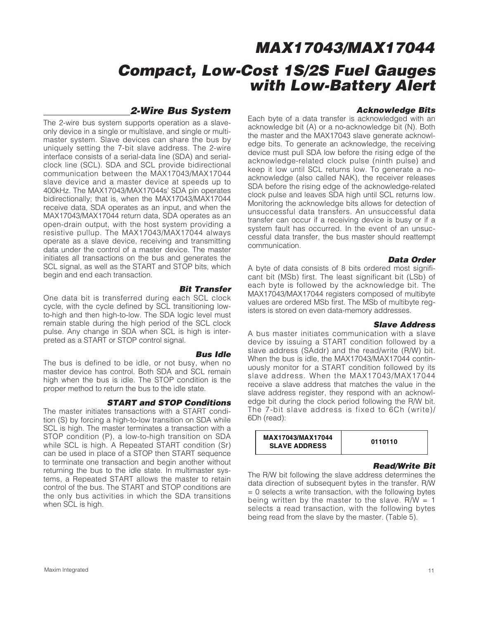### **2-Wire Bus System**

The 2-wire bus system supports operation as a slaveonly device in a single or multislave, and single or multimaster system. Slave devices can share the bus by uniquely setting the 7-bit slave address. The 2-wire interface consists of a serial-data line (SDA) and serialclock line (SCL). SDA and SCL provide bidirectional communication between the MAX17043/MAX17044 slave device and a master device at speeds up to 400kHz. The MAX17043/MAX17044s' SDA pin operates bidirectionally; that is, when the MAX17043/MAX17044 receive data, SDA operates as an input, and when the MAX17043/MAX17044 return data, SDA operates as an open-drain output, with the host system providing a resistive pullup. The MAX17043/MAX17044 always operate as a slave device, receiving and transmitting data under the control of a master device. The master initiates all transactions on the bus and generates the SCL signal, as well as the START and STOP bits, which begin and end each transaction.

**Bit Transfer** One data bit is transferred during each SCL clock cycle, with the cycle defined by SCL transitioning lowto-high and then high-to-low. The SDA logic level must remain stable during the high period of the SCL clock pulse. Any change in SDA when SCL is high is interpreted as a START or STOP control signal.

#### **Bus Idle**

The bus is defined to be idle, or not busy, when no master device has control. Both SDA and SCL remain high when the bus is idle. The STOP condition is the proper method to return the bus to the idle state.

#### **START and STOP Conditions**

The master initiates transactions with a START condition (S) by forcing a high-to-low transition on SDA while SCL is high. The master terminates a transaction with a STOP condition (P), a low-to-high transition on SDA while SCL is high. A Repeated START condition (Sr) can be used in place of a STOP then START sequence to terminate one transaction and begin another without returning the bus to the idle state. In multimaster systems, a Repeated START allows the master to retain control of the bus. The START and STOP conditions are the only bus activities in which the SDA transitions when SCL is high.

#### **Acknowledge Bits**

Each byte of a data transfer is acknowledged with an acknowledge bit (A) or a no-acknowledge bit (N). Both the master and the MAX17043 slave generate acknowledge bits. To generate an acknowledge, the receiving device must pull SDA low before the rising edge of the acknowledge-related clock pulse (ninth pulse) and keep it low until SCL returns low. To generate a noacknowledge (also called NAK), the receiver releases SDA before the rising edge of the acknowledge-related clock pulse and leaves SDA high until SCL returns low. Monitoring the acknowledge bits allows for detection of unsuccessful data transfers. An unsuccessful data transfer can occur if a receiving device is busy or if a system fault has occurred. In the event of an unsuccessful data transfer, the bus master should reattempt communication.

#### **Data Order**

A byte of data consists of 8 bits ordered most significant bit (MSb) first. The least significant bit (LSb) of each byte is followed by the acknowledge bit. The MAX17043/MAX17044 registers composed of multibyte values are ordered MSb first. The MSb of multibyte registers is stored on even data-memory addresses.

#### **Slave Address**

A bus master initiates communication with a slave device by issuing a START condition followed by a slave address (SAddr) and the read/write (R/W) bit. When the bus is idle, the MAX17043/MAX17044 continuously monitor for a START condition followed by its slave address. When the MAX17043/MAX17044 receive a slave address that matches the value in the slave address register, they respond with an acknowledge bit during the clock period following the R/W bit. The 7-bit slave address is fixed to 6Ch (write)/ 6Dh (read):



#### **Read/Write Bit**

The R/W bit following the slave address determines the data direction of subsequent bytes in the transfer. R/W  $= 0$  selects a write transaction, with the following bytes being written by the master to the slave.  $R/W = 1$ selects a read transaction, with the following bytes being read from the slave by the master. (Table 5).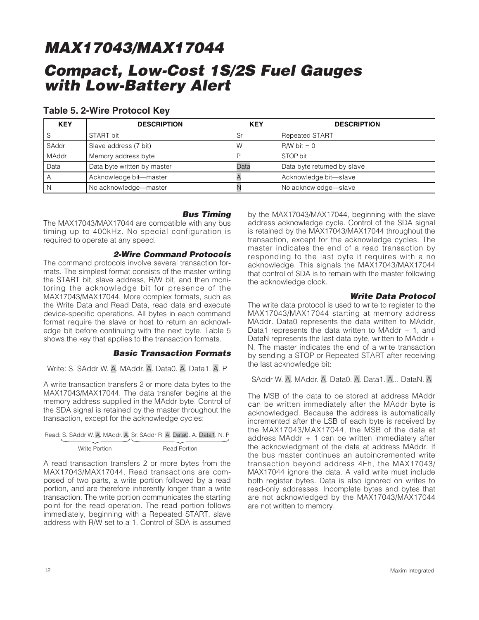### **Table 5. 2-Wire Protocol Key**

| <b>KEY</b>   | <b>DESCRIPTION</b>          | <b>KEY</b> | <b>DESCRIPTION</b>          |
|--------------|-----------------------------|------------|-----------------------------|
| O            | START bit                   | Sr         | <b>Repeated START</b>       |
| SAddr        | Slave address (7 bit)       | W          | $RM$ bit = 0                |
| <b>MAddr</b> | Memory address byte         |            | STOP bit                    |
| Data         | Data byte written by master | Data       | Data byte returned by slave |
| Α            | Acknowledge bit-master      |            | Acknowledge bit-slave       |
|              | No acknowledge-master       |            | No acknowledge-slave        |

#### **Bus Timing**

The MAX17043/MAX17044 are compatible with any bus timing up to 400kHz. No special configuration is required to operate at any speed.

#### **2-Wire Command Protocols**

The command protocols involve several transaction formats. The simplest format consists of the master writing the START bit, slave address, R/W bit, and then monitoring the acknowledge bit for presence of the MAX17043/MAX17044. More complex formats, such as the Write Data and Read Data, read data and execute device-specific operations. All bytes in each command format require the slave or host to return an acknowledge bit before continuing with the next byte. Table 5 shows the key that applies to the transaction formats.

#### **Basic Transaction Formats**

Write: S. SAddr W. A. MAddr. A. Data0. A. Data1. A. P

A write transaction transfers 2 or more data bytes to the MAX17043/MAX17044. The data transfer begins at the memory address supplied in the MAddr byte. Control of the SDA signal is retained by the master throughout the transaction, except for the acknowledge cycles:

|               | Read: S. SAddr W. A. MAddr. A. Sr. SAddr R. A. Data0. A. Data1. N. P |
|---------------|----------------------------------------------------------------------|
|               |                                                                      |
| Write Portion | Read Portion                                                         |

A read transaction transfers 2 or more bytes from the MAX17043/MAX17044. Read transactions are composed of two parts, a write portion followed by a read portion, and are therefore inherently longer than a write transaction. The write portion communicates the starting point for the read operation. The read portion follows immediately, beginning with a Repeated START, slave address with R/W set to a 1. Control of SDA is assumed

by the MAX17043/MAX17044, beginning with the slave address acknowledge cycle. Control of the SDA signal is retained by the MAX17043/MAX17044 throughout the transaction, except for the acknowledge cycles. The master indicates the end of a read transaction by responding to the last byte it requires with a no acknowledge. This signals the MAX17043/MAX17044 that control of SDA is to remain with the master following the acknowledge clock.

#### **Write Data Protocol**

The write data protocol is used to write to register to the MAX17043/MAX17044 starting at memory address MAddr. Data0 represents the data written to MAddr, Data1 represents the data written to MAddr  $+$  1, and DataN represents the last data byte, written to MAddr + N. The master indicates the end of a write transaction by sending a STOP or Repeated START after receiving the last acknowledge bit:

SAddr W. A. MAddr. A. Data0. A. Data1. A... DataN. A

The MSB of the data to be stored at address MAddr can be written immediately after the MAddr byte is acknowledged. Because the address is automatically incremented after the LSB of each byte is received by the MAX17043/MAX17044, the MSB of the data at address MAddr + 1 can be written immediately after the acknowledgment of the data at address MAddr. If the bus master continues an autoincremented write transaction beyond address 4Fh, the MAX17043/ MAX17044 ignore the data. A valid write must include both register bytes. Data is also ignored on writes to read-only addresses. Incomplete bytes and bytes that are not acknowledged by the MAX17043/MAX17044 are not written to memory.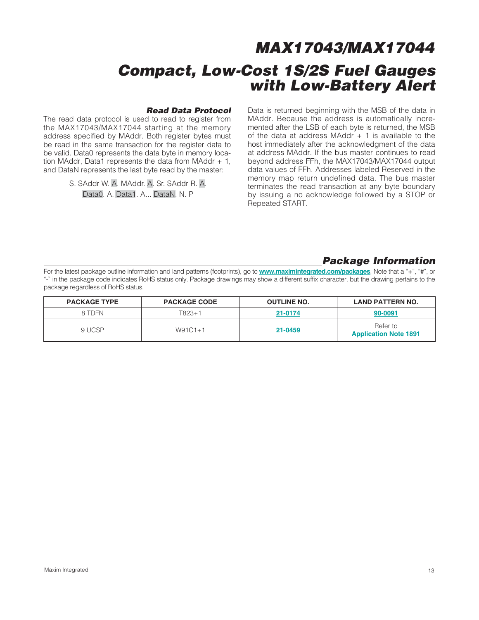#### **Read Data Protocol**

The read data protocol is used to read to register from the MAX17043/MAX17044 starting at the memory address specified by MAddr. Both register bytes must be read in the same transaction for the register data to be valid. Data0 represents the data byte in memory location MAddr, Data1 represents the data from MAddr  $+1$ , and DataN represents the last byte read by the master:

> S. SAddr W. A. MAddr. A. Sr. SAddr R. A. Data0. A. Data1. A... DataN. N. P

Data is returned beginning with the MSB of the data in MAddr. Because the address is automatically incremented after the LSB of each byte is returned, the MSB of the data at address MAddr  $+$  1 is available to the host immediately after the acknowledgment of the data at address MAddr. If the bus master continues to read beyond address FFh, the MAX17043/MAX17044 output data values of FFh. Addresses labeled Reserved in the memory map return undefined data. The bus master terminates the read transaction at any byte boundary by issuing a no acknowledge followed by a STOP or Repeated START.

### **Package Information**

For the latest package outline information and land patterns (footprints), go to **www.maximintegrated.com/packages**. Note that a "+", "#", or "-" in the package code indicates RoHS status only. Package drawings may show a different suffix character, but the drawing pertains to the package regardless of RoHS status.

| <b>PACKAGE TYPE</b> | <b>PACKAGE CODE</b> | <b>OUTLINE NO.</b> | <b>LAND PATTERN NO.</b>                  |
|---------------------|---------------------|--------------------|------------------------------------------|
| 8 TDFN              | T823+1              | 21-0174            | 90-0091                                  |
| 9 UCSP              | $W91C1+1$           | 21-0459            | Refer to<br><b>Application Note 1891</b> |